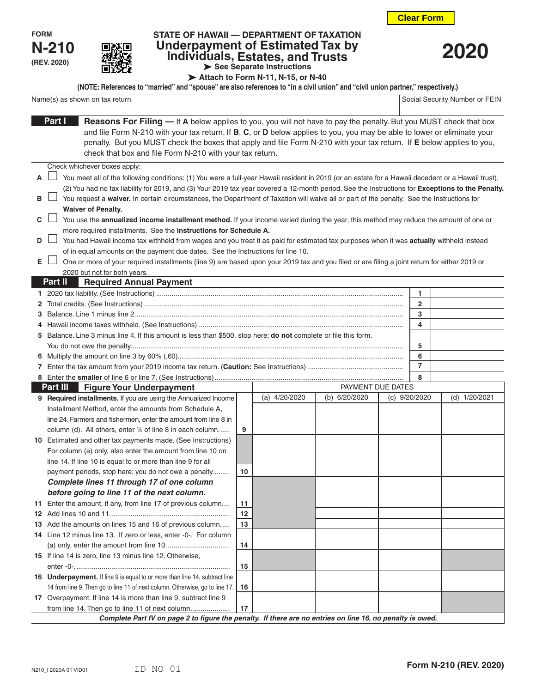

| . . |
|-----|
|-----|

## **STATE OF HAWAII — DEPARTMENT OF TAXATION Underpayment of Estimated Tax by Individuals, Estates, and Trusts See Separate Instructions**



**Attach to Form N-11, N-15, or N-40**

|                                | (NOTE: References to "married" and "spouse" are also references to "in a civil union" and "civil union partner," respectively.) |                                |
|--------------------------------|---------------------------------------------------------------------------------------------------------------------------------|--------------------------------|
| Name(s) as shown on tax return |                                                                                                                                 | Social Security Number or FEIN |

|    | Part I<br><b>Reasons For Filing — If A</b> below applies to you, you will not have to pay the penalty. But you MUST check that box                 |    |                 |                   |  |               |               |
|----|----------------------------------------------------------------------------------------------------------------------------------------------------|----|-----------------|-------------------|--|---------------|---------------|
|    | and file Form N-210 with your tax return. If B, C, or D below applies to you, you may be able to lower or eliminate your                           |    |                 |                   |  |               |               |
|    | penalty. But you MUST check the boxes that apply and file Form N-210 with your tax return. If E below applies to you,                              |    |                 |                   |  |               |               |
|    | check that box and file Form N-210 with your tax return.                                                                                           |    |                 |                   |  |               |               |
|    | Check whichever boxes apply:                                                                                                                       |    |                 |                   |  |               |               |
| А  | You meet all of the following conditions: (1) You were a full-year Hawaii resident in 2019 (or an estate for a Hawaii decedent or a Hawaii trust), |    |                 |                   |  |               |               |
|    | (2) You had no tax liability for 2019, and (3) Your 2019 tax year covered a 12-month period. See the Instructions for Exceptions to the Penalty.   |    |                 |                   |  |               |               |
| в  | You request a waiver. In certain circumstances, the Department of Taxation will waive all or part of the penalty. See the Instructions for         |    |                 |                   |  |               |               |
|    | <b>Waiver of Penalty.</b>                                                                                                                          |    |                 |                   |  |               |               |
| C  | You use the annualized income installment method. If your income varied during the year, this method may reduce the amount of one or               |    |                 |                   |  |               |               |
|    | more required installments. See the Instructions for Schedule A.                                                                                   |    |                 |                   |  |               |               |
| D  | You had Hawaii income tax withheld from wages and you treat it as paid for estimated tax purposes when it was actually withheld instead            |    |                 |                   |  |               |               |
|    | of in equal amounts on the payment due dates. See the Instructions for line 10.                                                                    |    |                 |                   |  |               |               |
| Е. | One or more of your required installments (line 9) are based upon your 2019 tax and you filed or are filing a joint return for either 2019 or      |    |                 |                   |  |               |               |
|    | 2020 but not for both years.<br>Part II<br><b>Required Annual Payment</b>                                                                          |    |                 |                   |  |               |               |
|    |                                                                                                                                                    |    |                 |                   |  | 1             |               |
| 2. |                                                                                                                                                    |    |                 |                   |  | 2             |               |
|    |                                                                                                                                                    |    |                 |                   |  | 3             |               |
|    |                                                                                                                                                    |    |                 |                   |  | 4             |               |
|    | 5 Balance. Line 3 minus line 4. If this amount is less than \$500, stop here; do not complete or file this form.                                   |    |                 |                   |  |               |               |
|    |                                                                                                                                                    |    |                 |                   |  | 5             |               |
|    |                                                                                                                                                    |    |                 |                   |  | 6             |               |
|    |                                                                                                                                                    |    |                 |                   |  | 7             |               |
|    |                                                                                                                                                    |    |                 |                   |  | 8             |               |
|    | <b>Part III</b><br><b>Figure Your Underpayment</b>                                                                                                 |    |                 | PAYMENT DUE DATES |  |               |               |
|    | 9 Required installments. If you are using the Annualized Income                                                                                    |    | (a) $4/20/2020$ | (b) 6/20/2020     |  | (c) 9/20/2020 | (d) 1/20/2021 |
|    | Installment Method, enter the amounts from Schedule A,                                                                                             |    |                 |                   |  |               |               |
|    | line 24. Farmers and fishermen, enter the amount from line 8 in                                                                                    |    |                 |                   |  |               |               |
|    | column (d). All others, enter 1/4 of line 8 in each column                                                                                         | 9  |                 |                   |  |               |               |
|    | 10 Estimated and other tax payments made. (See Instructions)                                                                                       |    |                 |                   |  |               |               |
|    | For column (a) only, also enter the amount from line 10 on                                                                                         |    |                 |                   |  |               |               |
|    | line 14. If line 10 is equal to or more than line 9 for all                                                                                        |    |                 |                   |  |               |               |
|    | payment periods, stop here; you do not owe a penalty<br>Complete lines 11 through 17 of one column                                                 | 10 |                 |                   |  |               |               |
|    | before going to line 11 of the next column.                                                                                                        |    |                 |                   |  |               |               |
|    | 11 Enter the amount, if any, from line 17 of previous column                                                                                       | 11 |                 |                   |  |               |               |
|    |                                                                                                                                                    | 12 |                 |                   |  |               |               |
|    | 13 Add the amounts on lines 15 and 16 of previous column                                                                                           | 13 |                 |                   |  |               |               |
|    | 14 Line 12 minus line 13. If zero or less, enter -0-. For column                                                                                   |    |                 |                   |  |               |               |
|    |                                                                                                                                                    | 14 |                 |                   |  |               |               |
|    | 15 If line 14 is zero, line 13 minus line 12. Otherwise,                                                                                           |    |                 |                   |  |               |               |
|    |                                                                                                                                                    | 15 |                 |                   |  |               |               |
|    | 16 Underpayment. If line 9 is equal to or more than line 14, subtract line                                                                         |    |                 |                   |  |               |               |
|    | 14 from line 9. Then go to line 11 of next column. Otherwise, go to line 17.                                                                       | 16 |                 |                   |  |               |               |
|    | 17 Overpayment. If line 14 is more than line 9, subtract line 9                                                                                    |    |                 |                   |  |               |               |
|    | from line 14. Then go to line 11 of next column.                                                                                                   | 17 |                 |                   |  |               |               |
|    | Complete Part IV on page 2 to figure the penalty. If there are no entries on line 16, no penalty is owed.                                          |    |                 |                   |  |               |               |